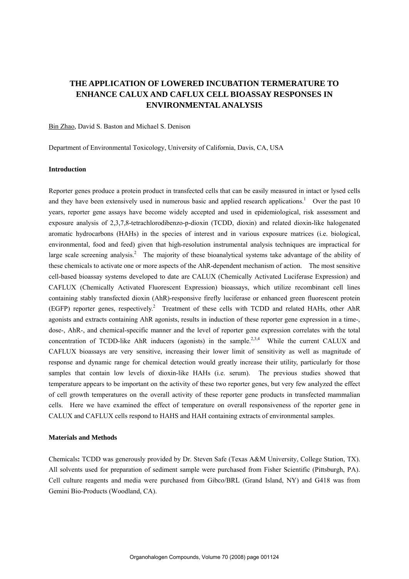# **THE APPLICATION OF LOWERED INCUBATION TERMERATURE TO ENHANCE CALUX AND CAFLUX CELL BIOASSAY RESPONSES IN ENVIRONMENTAL ANALYSIS**

Bin Zhao, David S. Baston and Michael S. Denison

Department of Environmental Toxicology, University of California, Davis, CA, USA

# **Introduction**

Reporter genes produce a protein product in transfected cells that can be easily measured in intact or lysed cells and they have been extensively used in numerous basic and applied research applications.<sup>1</sup> Over the past 10 years, reporter gene assays have become widely accepted and used in epidemiological, risk assessment and exposure analysis of 2,3,7,8-tetrachlorodibenzo-p-dioxin (TCDD, dioxin) and related dioxin-like halogenated aromatic hydrocarbons (HAHs) in the species of interest and in various exposure matrices (i.e. biological, environmental, food and feed) given that high-resolution instrumental analysis techniques are impractical for large scale screening analysis.<sup>2</sup> The majority of these bioanalytical systems take advantage of the ability of these chemicals to activate one or more aspects of the AhR-dependent mechanism of action. The most sensitive cell-based bioassay systems developed to date are CALUX (Chemically Activated Luciferase Expression) and CAFLUX (Chemically Activated Fluorescent Expression) bioassays, which utilize recombinant cell lines containing stably transfected dioxin (AhR)-responsive firefly luciferase or enhanced green fluorescent protein (EGFP) reporter genes, respectively.<sup>2</sup> Treatment of these cells with TCDD and related HAHs, other AhR agonists and extracts containing AhR agonists, results in induction of these reporter gene expression in a time-, dose-, AhR-, and chemical-specific manner and the level of reporter gene expression correlates with the total concentration of TCDD-like AhR inducers (agonists) in the sample.<sup>2,3,4</sup> While the current CALUX and CAFLUX bioassays are very sensitive, increasing their lower limit of sensitivity as well as magnitude of response and dynamic range for chemical detection would greatly increase their utility, particularly for those samples that contain low levels of dioxin-like HAHs (i.e. serum). The previous studies showed that temperature appears to be important on the activity of these two reporter genes, but very few analyzed the effect of cell growth temperatures on the overall activity of these reporter gene products in transfected mammalian cells. Here we have examined the effect of temperature on overall responsiveness of the reporter gene in CALUX and CAFLUX cells respond to HAHS and HAH containing extracts of environmental samples.

#### **Materials and Methods**

Chemicals**:** TCDD was generously provided by Dr. Steven Safe (Texas A&M University, College Station, TX). All solvents used for preparation of sediment sample were purchased from Fisher Scientific (Pittsburgh, PA). Cell culture reagents and media were purchased from Gibco/BRL (Grand Island, NY) and G418 was from Gemini Bio-Products (Woodland, CA).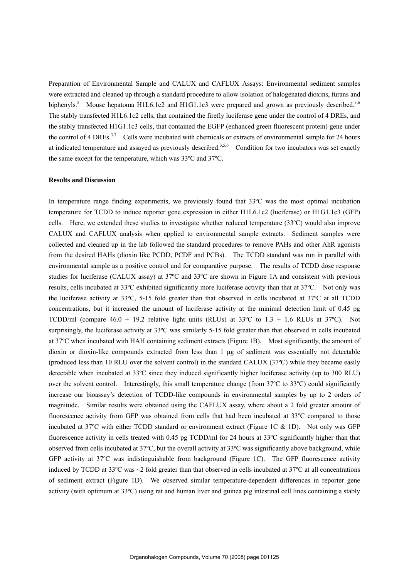Preparation of Environmental Sample and CALUX and CAFLUX Assays: Environmental sediment samples were extracted and cleaned up through a standard procedure to allow isolation of halogenated dioxins, furans and biphenyls.<sup>5</sup> Mouse hepatoma H1L6.1c2 and H1G1.1c3 were prepared and grown as previously described.<sup>3,6</sup> The stably transfected H1L6.1c2 cells, that contained the firefly luciferase gene under the control of 4 DREs, and the stably transfected H1G1.1c3 cells, that contained the EGFP (enhanced green fluorescent protein) gene under the control of 4 DREs.<sup>3,7</sup> Cells were incubated with chemicals or extracts of environmental sample for 24 hours at indicated temperature and assayed as previously described.<sup>3,5,6</sup> Condition for two incubators was set exactly the same except for the temperature, which was 33ºC and 37ºC.

### **Results and Discussion**

In temperature range finding experiments, we previously found that 33ºC was the most optimal incubation temperature for TCDD to induce reporter gene expression in either H1L6.1c2 (luciferase) or H1G1.1c3 (GFP) cells. Here, we extended these studies to investigate whether reduced temperature (33ºC) would also improve CALUX and CAFLUX analysis when applied to environmental sample extracts. Sediment samples were collected and cleaned up in the lab followed the standard procedures to remove PAHs and other AhR agonists from the desired HAHs (dioxin like PCDD, PCDF and PCBs). The TCDD standard was run in parallel with environmental sample as a positive control and for comparative purpose. The results of TCDD dose response studies for luciferase (CALUX assay) at 37ºC and 33ºC are shown in Figure 1A and consistent with previous results, cells incubated at 33ºC exhibited significantly more luciferase activity than that at 37ºC. Not only was the luciferase activity at 33ºC, 5-15 fold greater than that observed in cells incubated at 37ºC at all TCDD concentrations, but it increased the amount of luciferase activity at the minimal detection limit of 0.45 pg TCDD/ml (compare  $46.0 \pm 19.2$  relative light units (RLUs) at  $33^{\circ}$ C to  $1.3 \pm 1.6$  RLUs at  $37^{\circ}$ C). Not surprisingly, the luciferase activity at 33°C was similarly 5-15 fold greater than that observed in cells incubated at 37ºC when incubated with HAH containing sediment extracts (Figure 1B). Most significantly, the amount of dioxin or dioxin-like compounds extracted from less than 1 μg of sediment was essentially not detectable (produced less than 10 RLU over the solvent control) in the standard CALUX (37ºC) while they became easily detectable when incubated at 33ºC since they induced significantly higher luciferase activity (up to 300 RLU) over the solvent control. Interestingly, this small temperature change (from 37ºC to 33ºC) could significantly increase our bioassay's detection of TCDD-like compounds in environmental samples by up to 2 orders of magnitude. Similar results were obtained using the CAFLUX assay, where about a 2 fold greater amount of fluorescence activity from GFP was obtained from cells that had been incubated at 33ºC compared to those incubated at 37ºC with either TCDD standard or environment extract (Figure 1C & 1D). Not only was GFP fluorescence activity in cells treated with 0.45 pg TCDD/ml for 24 hours at 33ºC significantly higher than that observed from cells incubated at 37ºC, but the overall activity at 33ºC was significantly above background, while GFP activity at 37ºC was indistinguishable from background (Figure 1C). The GFP fluorescence activity induced by TCDD at 33ºC was ~2 fold greater than that observed in cells incubated at 37ºC at all concentrations of sediment extract (Figure 1D). We observed similar temperature-dependent differences in reporter gene activity (with optimum at 33ºC) using rat and human liver and guinea pig intestinal cell lines containing a stably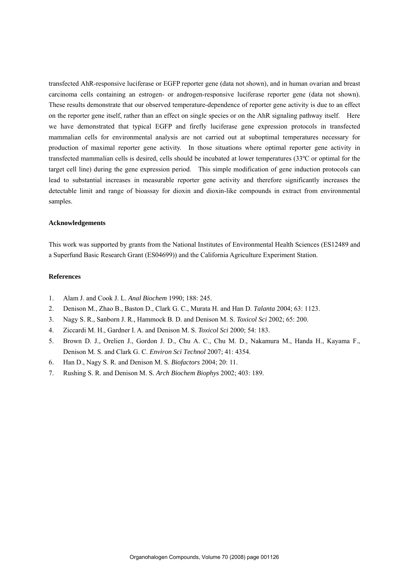transfected AhR-responsive luciferase or EGFP reporter gene (data not shown), and in human ovarian and breast carcinoma cells containing an estrogen- or androgen-responsive luciferase reporter gene (data not shown). These results demonstrate that our observed temperature-dependence of reporter gene activity is due to an effect on the reporter gene itself, rather than an effect on single species or on the AhR signaling pathway itself. Here we have demonstrated that typical EGFP and firefly luciferase gene expression protocols in transfected mammalian cells for environmental analysis are not carried out at suboptimal temperatures necessary for production of maximal reporter gene activity. In those situations where optimal reporter gene activity in transfected mammalian cells is desired, cells should be incubated at lower temperatures (33ºC or optimal for the target cell line) during the gene expression period. This simple modification of gene induction protocols can lead to substantial increases in measurable reporter gene activity and therefore significantly increases the detectable limit and range of bioassay for dioxin and dioxin-like compounds in extract from environmental samples.

#### **Acknowledgements**

This work was supported by grants from the National Institutes of Environmental Health Sciences (ES12489 and a Superfund Basic Research Grant (ES04699)) and the California Agriculture Experiment Station.

# **References**

- 1. Alam J. and Cook J. L. *Anal Biochem* 1990; 188: 245.
- 2. Denison M., Zhao B., Baston D., Clark G. C., Murata H. and Han D. *Talanta* 2004; 63: 1123.
- 3. Nagy S. R., Sanborn J. R., Hammock B. D. and Denison M. S. *Toxicol Sci* 2002; 65: 200.
- 4. Ziccardi M. H., Gardner I. A. and Denison M. S. *Toxicol Sci* 2000; 54: 183.
- 5. Brown D. J., Orelien J., Gordon J. D., Chu A. C., Chu M. D., Nakamura M., Handa H., Kayama F., Denison M. S. and Clark G. C. *Environ Sci Technol* 2007; 41: 4354.
- 6. Han D., Nagy S. R. and Denison M. S. *Biofactors* 2004; 20: 11.
- 7. Rushing S. R. and Denison M. S. *Arch Biochem Biophys* 2002; 403: 189.